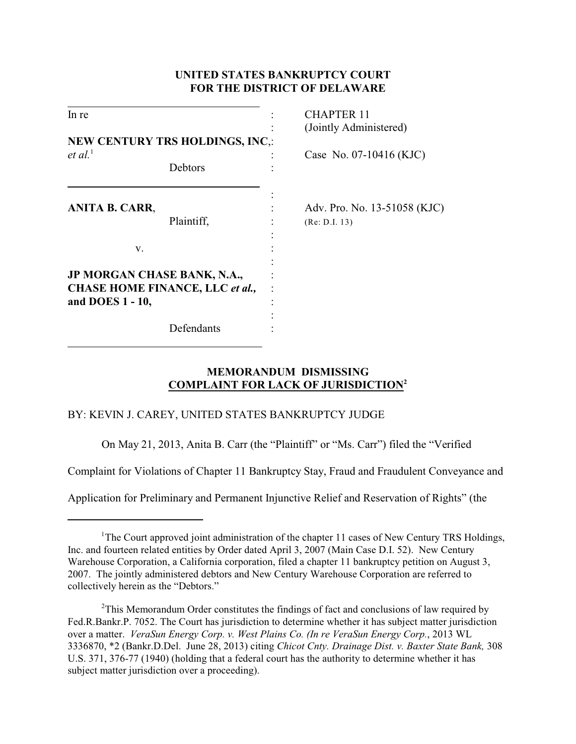### **UNITED STATES BANKRUPTCY COURT FOR THE DISTRICT OF DELAWARE**

| In re                                               | <b>CHAPTER 11</b>            |
|-----------------------------------------------------|------------------------------|
|                                                     | (Jointly Administered)       |
| NEW CENTURY TRS HOLDINGS, INC,:                     |                              |
| $et al.$ <sup>1</sup>                               | Case No. 07-10416 (KJC)      |
| Debtors                                             |                              |
|                                                     |                              |
| <b>ANITA B. CARR,</b>                               | Adv. Pro. No. 13-51058 (KJC) |
| Plaintiff,                                          | (Re: D.I. 13)                |
|                                                     |                              |
| V.                                                  |                              |
|                                                     |                              |
| JP MORGAN CHASE BANK, N.A.,                         |                              |
| CHASE HOME FINANCE, LLC et al.,<br>and DOES 1 - 10, |                              |
|                                                     |                              |
| Defendants                                          |                              |
|                                                     |                              |

## **MEMORANDUM DISMISSING COMPLAINT FOR LACK OF JURISDICTION<sup>2</sup>**

### BY: KEVIN J. CAREY, UNITED STATES BANKRUPTCY JUDGE

On May 21, 2013, Anita B. Carr (the "Plaintiff" or "Ms. Carr") filed the "Verified

Complaint for Violations of Chapter 11 Bankruptcy Stay, Fraud and Fraudulent Conveyance and

Application for Preliminary and Permanent Injunctive Relief and Reservation of Rights" (the

<sup>&</sup>lt;sup>1</sup>The Court approved joint administration of the chapter 11 cases of New Century TRS Holdings, Inc. and fourteen related entities by Order dated April 3, 2007 (Main Case D.I. 52). New Century Warehouse Corporation, a California corporation, filed a chapter 11 bankruptcy petition on August 3, 2007. The jointly administered debtors and New Century Warehouse Corporation are referred to collectively herein as the "Debtors."

 $2$ This Memorandum Order constitutes the findings of fact and conclusions of law required by Fed.R.Bankr.P. 7052. The Court has jurisdiction to determine whether it has subject matter jurisdiction over a matter. *VeraSun Energy Corp. v. West Plains Co. (In re VeraSun Energy Corp.*, 2013 WL 3336870, \*2 (Bankr.D.Del. June 28, 2013) citing *Chicot Cnty. Drainage Dist. v. Baxter State Bank,* 308 U.S. 371, 376-77 (1940) (holding that a federal court has the authority to determine whether it has subject matter jurisdiction over a proceeding).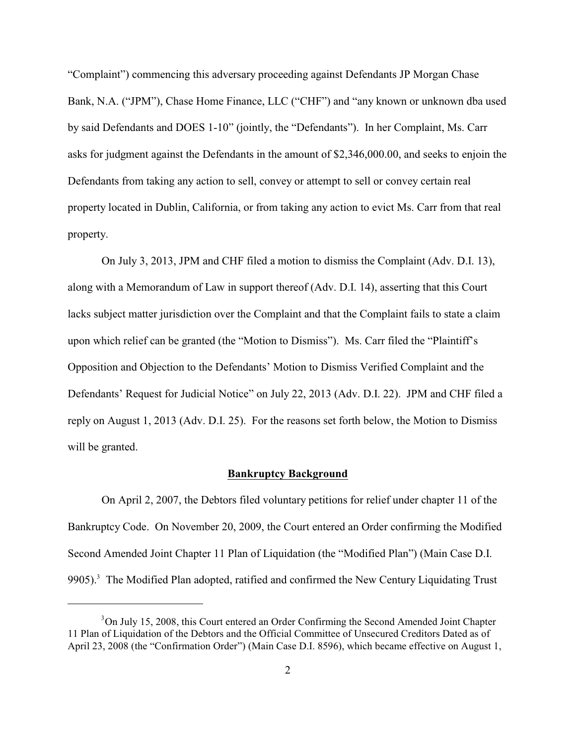"Complaint") commencing this adversary proceeding against Defendants JP Morgan Chase Bank, N.A. ("JPM"), Chase Home Finance, LLC ("CHF") and "any known or unknown dba used by said Defendants and DOES 1-10" (jointly, the "Defendants"). In her Complaint, Ms. Carr asks for judgment against the Defendants in the amount of \$2,346,000.00, and seeks to enjoin the Defendants from taking any action to sell, convey or attempt to sell or convey certain real property located in Dublin, California, or from taking any action to evict Ms. Carr from that real property.

On July 3, 2013, JPM and CHF filed a motion to dismiss the Complaint (Adv. D.I. 13), along with a Memorandum of Law in support thereof (Adv. D.I. 14), asserting that this Court lacks subject matter jurisdiction over the Complaint and that the Complaint fails to state a claim upon which relief can be granted (the "Motion to Dismiss"). Ms. Carr filed the "Plaintiff's Opposition and Objection to the Defendants' Motion to Dismiss Verified Complaint and the Defendants' Request for Judicial Notice" on July 22, 2013 (Adv. D.I. 22). JPM and CHF filed a reply on August 1, 2013 (Adv. D.I. 25). For the reasons set forth below, the Motion to Dismiss will be granted.

#### **Bankruptcy Background**

On April 2, 2007, the Debtors filed voluntary petitions for relief under chapter 11 of the Bankruptcy Code. On November 20, 2009, the Court entered an Order confirming the Modified Second Amended Joint Chapter 11 Plan of Liquidation (the "Modified Plan") (Main Case D.I. 9905). $3$  The Modified Plan adopted, ratified and confirmed the New Century Liquidating Trust

<sup>&</sup>lt;sup>3</sup>On July 15, 2008, this Court entered an Order Confirming the Second Amended Joint Chapter 11 Plan of Liquidation of the Debtors and the Official Committee of Unsecured Creditors Dated as of April 23, 2008 (the "Confirmation Order") (Main Case D.I. 8596), which became effective on August 1,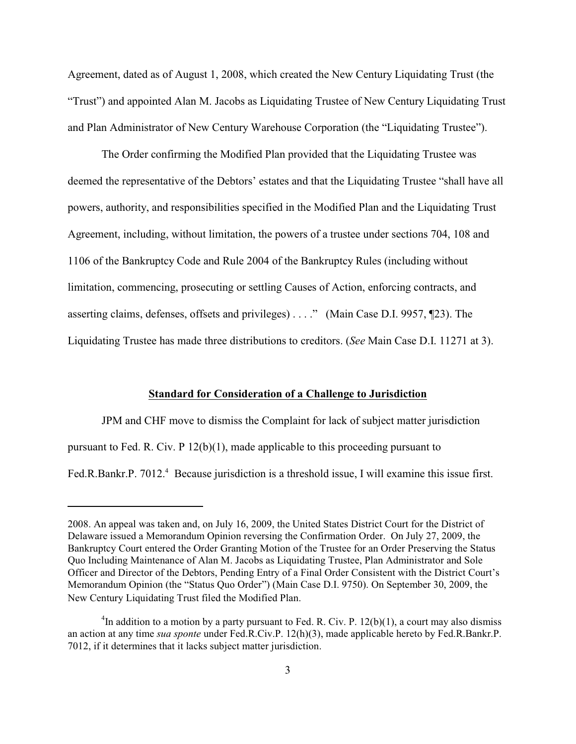Agreement, dated as of August 1, 2008, which created the New Century Liquidating Trust (the "Trust") and appointed Alan M. Jacobs as Liquidating Trustee of New Century Liquidating Trust and Plan Administrator of New Century Warehouse Corporation (the "Liquidating Trustee").

The Order confirming the Modified Plan provided that the Liquidating Trustee was deemed the representative of the Debtors' estates and that the Liquidating Trustee "shall have all powers, authority, and responsibilities specified in the Modified Plan and the Liquidating Trust Agreement, including, without limitation, the powers of a trustee under sections 704, 108 and 1106 of the Bankruptcy Code and Rule 2004 of the Bankruptcy Rules (including without limitation, commencing, prosecuting or settling Causes of Action, enforcing contracts, and asserting claims, defenses, offsets and privileges) . . . ." (Main Case D.I. 9957, ¶23). The Liquidating Trustee has made three distributions to creditors. (*See* Main Case D.I. 11271 at 3).

### **Standard for Consideration of a Challenge to Jurisdiction**

JPM and CHF move to dismiss the Complaint for lack of subject matter jurisdiction pursuant to Fed. R. Civ. P 12(b)(1), made applicable to this proceeding pursuant to Fed.R.Bankr.P. 7012.<sup>4</sup> Because jurisdiction is a threshold issue, I will examine this issue first.

<sup>2008.</sup> An appeal was taken and, on July 16, 2009, the United States District Court for the District of Delaware issued a Memorandum Opinion reversing the Confirmation Order. On July 27, 2009, the Bankruptcy Court entered the Order Granting Motion of the Trustee for an Order Preserving the Status Quo Including Maintenance of Alan M. Jacobs as Liquidating Trustee, Plan Administrator and Sole Officer and Director of the Debtors, Pending Entry of a Final Order Consistent with the District Court's Memorandum Opinion (the "Status Quo Order") (Main Case D.I. 9750). On September 30, 2009, the New Century Liquidating Trust filed the Modified Plan.

<sup>&</sup>lt;sup>4</sup>In addition to a motion by a party pursuant to Fed. R. Civ. P.  $12(b)(1)$ , a court may also dismiss an action at any time *sua sponte* under Fed.R.Civ.P. 12(h)(3), made applicable hereto by Fed.R.Bankr.P. 7012, if it determines that it lacks subject matter jurisdiction.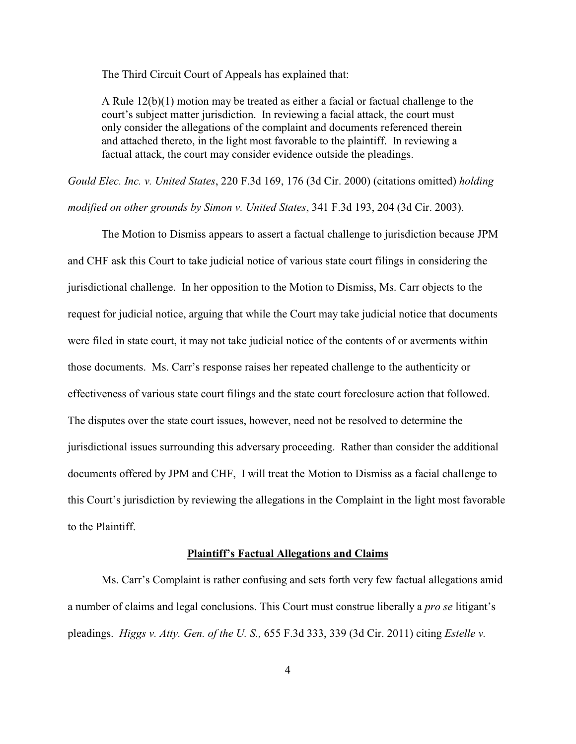The Third Circuit Court of Appeals has explained that:

A Rule 12(b)(1) motion may be treated as either a facial or factual challenge to the court's subject matter jurisdiction. In reviewing a facial attack, the court must only consider the allegations of the complaint and documents referenced therein and attached thereto, in the light most favorable to the plaintiff. In reviewing a factual attack, the court may consider evidence outside the pleadings.

*Gould Elec. Inc. v. United States*, 220 F.3d 169, 176 (3d Cir. 2000) (citations omitted) *holding modified on other grounds by Simon v. United States*, 341 F.3d 193, 204 (3d Cir. 2003).

The Motion to Dismiss appears to assert a factual challenge to jurisdiction because JPM and CHF ask this Court to take judicial notice of various state court filings in considering the jurisdictional challenge. In her opposition to the Motion to Dismiss, Ms. Carr objects to the request for judicial notice, arguing that while the Court may take judicial notice that documents were filed in state court, it may not take judicial notice of the contents of or averments within those documents. Ms. Carr's response raises her repeated challenge to the authenticity or effectiveness of various state court filings and the state court foreclosure action that followed. The disputes over the state court issues, however, need not be resolved to determine the jurisdictional issues surrounding this adversary proceeding. Rather than consider the additional documents offered by JPM and CHF, I will treat the Motion to Dismiss as a facial challenge to this Court's jurisdiction by reviewing the allegations in the Complaint in the light most favorable to the Plaintiff.

### **Plaintiff's Factual Allegations and Claims**

Ms. Carr's Complaint is rather confusing and sets forth very few factual allegations amid a number of claims and legal conclusions. This Court must construe liberally a *pro se* litigant's pleadings. *Higgs v. Atty. Gen. of the U. S.,* 655 F.3d 333, 339 (3d Cir. 2011) citing *Estelle v.*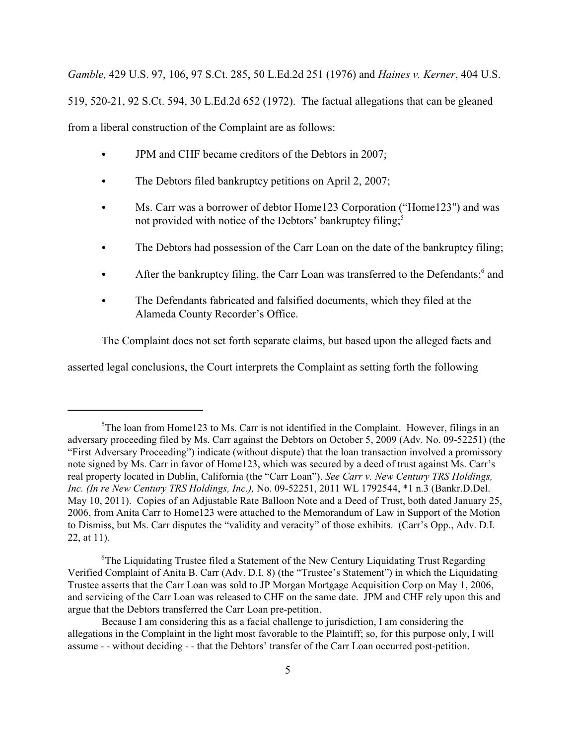*Gamble,* 429 U.S. 97, 106, 97 S.Ct. 285, 50 L.Ed.2d 251 (1976) and *Haines v. Kerner*, 404 U.S. 519, 520-21, 92 S.Ct. 594, 30 L.Ed.2d 652 (1972). The factual allegations that can be gleaned from a liberal construction of the Complaint are as follows:

- JPM and CHF became creditors of the Debtors in 2007;
- $\bullet$  The Debtors filed bankruptcy petitions on April 2, 2007;
- Ms. Carr was a borrower of debtor Home123 Corporation ("Home123") and was not provided with notice of the Debtors' bankruptcy filing;<sup>5</sup>
- The Debtors had possession of the Carr Loan on the date of the bankruptcy filing;
- After the bankruptcy filing, the Carr Loan was transferred to the Defendants;<sup>6</sup> and
- The Defendants fabricated and falsified documents, which they filed at the Alameda County Recorder's Office.

The Complaint does not set forth separate claims, but based upon the alleged facts and

asserted legal conclusions, the Court interprets the Complaint as setting forth the following

 ${}^{5}$ The loan from Home123 to Ms. Carr is not identified in the Complaint. However, filings in an adversary proceeding filed by Ms. Carr against the Debtors on October 5, 2009 (Adv. No. 09-52251) (the "First Adversary Proceeding") indicate (without dispute) that the loan transaction involved a promissory note signed by Ms. Carr in favor of Home123, which was secured by a deed of trust against Ms. Carr's real property located in Dublin, California (the "Carr Loan"). *See Carr v. New Century TRS Holdings, Inc. (In re New Century TRS Holdings, Inc.),* No. 09-52251, 2011 WL 1792544, \*1 n.3 (Bankr.D.Del. May 10, 2011). Copies of an Adjustable Rate Balloon Note and a Deed of Trust, both dated January 25, 2006, from Anita Carr to Home123 were attached to the Memorandum of Law in Support of the Motion to Dismiss, but Ms. Carr disputes the "validity and veracity" of those exhibits. (Carr's Opp., Adv. D.I. 22, at 11).

 ${}^6$ The Liquidating Trustee filed a Statement of the New Century Liquidating Trust Regarding Verified Complaint of Anita B. Carr (Adv. D.I. 8) (the "Trustee's Statement") in which the Liquidating Trustee asserts that the Carr Loan was sold to JP Morgan Mortgage Acquisition Corp on May 1, 2006, and servicing of the Carr Loan was released to CHF on the same date. JPM and CHF rely upon this and argue that the Debtors transferred the Carr Loan pre-petition.

Because I am considering this as a facial challenge to jurisdiction, I am considering the allegations in the Complaint in the light most favorable to the Plaintiff; so, for this purpose only, I will assume - - without deciding - - that the Debtors' transfer of the Carr Loan occurred post-petition.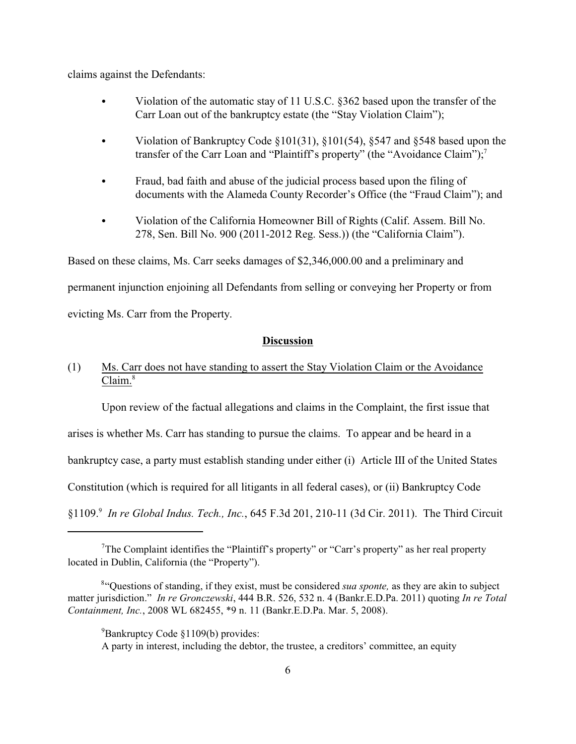claims against the Defendants:

- Violation of the automatic stay of 11 U.S.C. §362 based upon the transfer of the Carr Loan out of the bankruptcy estate (the "Stay Violation Claim");
- Violation of Bankruptcy Code §101(31), §101(54), §547 and §548 based upon the transfer of the Carr Loan and "Plaintiff's property" (the "Avoidance Claim");<sup>7</sup>
- Fraud, bad faith and abuse of the judicial process based upon the filing of documents with the Alameda County Recorder's Office (the "Fraud Claim"); and
- Violation of the California Homeowner Bill of Rights (Calif. Assem. Bill No. 278, Sen. Bill No. 900 (2011-2012 Reg. Sess.)) (the "California Claim").

Based on these claims, Ms. Carr seeks damages of \$2,346,000.00 and a preliminary and

permanent injunction enjoining all Defendants from selling or conveying her Property or from

evicting Ms. Carr from the Property.

### **Discussion**

# (1) Ms. Carr does not have standing to assert the Stay Violation Claim or the Avoidance  $Claim.<sup>8</sup>$

Upon review of the factual allegations and claims in the Complaint, the first issue that

arises is whether Ms. Carr has standing to pursue the claims. To appear and be heard in a

bankruptcy case, a party must establish standing under either (i) Article III of the United States

Constitution (which is required for all litigants in all federal cases), or (ii) Bankruptcy Code

§1109. *In re Global Indus. Tech., Inc.*, 645 F.3d 201, 210-11 (3d Cir. 2011). The Third Circuit <sup>9</sup>

 $^{9}$ Bankruptcy Code §1109(b) provides:

A party in interest, including the debtor, the trustee, a creditors' committee, an equity

<sup>&</sup>lt;sup>7</sup>The Complaint identifies the "Plaintiff's property" or "Carr's property" as her real property located in Dublin, California (the "Property").

<sup>&</sup>lt;sup>8"</sup>Ouestions of standing, if they exist, must be considered *sua sponte*, as they are akin to subject matter jurisdiction." *In re Gronczewski*, 444 B.R. 526, 532 n. 4 (Bankr.E.D.Pa. 2011) quoting *In re Total Containment, Inc.*, 2008 WL 682455, \*9 n. 11 (Bankr.E.D.Pa. Mar. 5, 2008).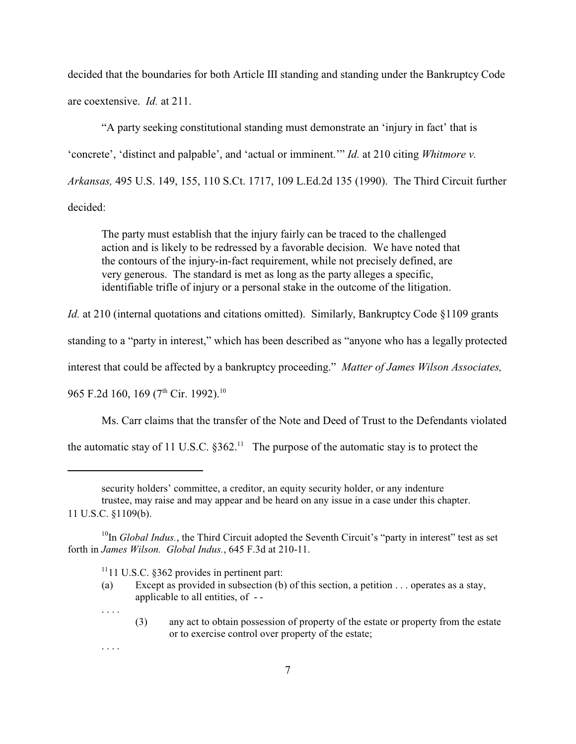decided that the boundaries for both Article III standing and standing under the Bankruptcy Code are coextensive. *Id.* at 211.

"A party seeking constitutional standing must demonstrate an 'injury in fact' that is 'concrete', 'distinct and palpable', and 'actual or imminent.'" *Id.* at 210 citing *Whitmore v. Arkansas,* 495 U.S. 149, 155, 110 S.Ct. 1717, 109 L.Ed.2d 135 (1990). The Third Circuit further decided:

The party must establish that the injury fairly can be traced to the challenged action and is likely to be redressed by a favorable decision. We have noted that the contours of the injury-in-fact requirement, while not precisely defined, are very generous. The standard is met as long as the party alleges a specific, identifiable trifle of injury or a personal stake in the outcome of the litigation.

*Id.* at 210 (internal quotations and citations omitted). Similarly, Bankruptcy Code §1109 grants

standing to a "party in interest," which has been described as "anyone who has a legally protected

interest that could be affected by a bankruptcy proceeding." *Matter of James Wilson Associates,*

965 F.2d 160, 169 (7<sup>th</sup> Cir. 1992).<sup>10</sup>

. . . .

. . . .

Ms. Carr claims that the transfer of the Note and Deed of Trust to the Defendants violated

the automatic stay of 11 U.S.C.  $§362$ <sup>11</sup> The purpose of the automatic stay is to protect the

- $1111$  U.S.C. §362 provides in pertinent part:
- (a) Except as provided in subsection (b) of this section, a petition . . . operates as a stay, applicable to all entities, of - -
	- (3) any act to obtain possession of property of the estate or property from the estate or to exercise control over property of the estate;

security holders' committee, a creditor, an equity security holder, or any indenture

trustee, may raise and may appear and be heard on any issue in a case under this chapter. 11 U.S.C. §1109(b).

<sup>&</sup>lt;sup>10</sup>In *Global Indus.*, the Third Circuit adopted the Seventh Circuit's "party in interest" test as set forth in *James Wilson. Global Indus.*, 645 F.3d at 210-11.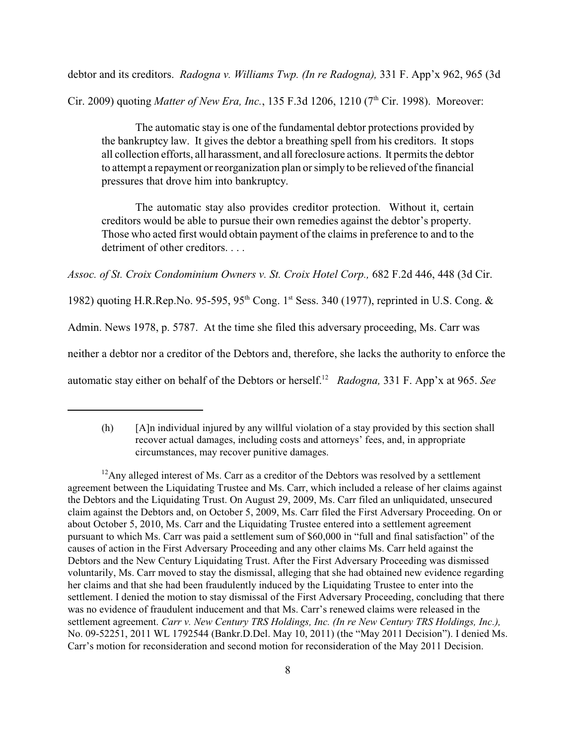debtor and its creditors. *Radogna v. Williams Twp. (In re Radogna),* 331 F. App'x 962, 965 (3d Cir. 2009) quoting *Matter of New Era, Inc.*, 135 F.3d 1206, 1210 (7<sup>th</sup> Cir. 1998). Moreover:

The automatic stay is one of the fundamental debtor protections provided by the bankruptcy law. It gives the debtor a breathing spell from his creditors. It stops all collection efforts, all harassment, and all foreclosure actions. It permits the debtor to attempt a repayment or reorganization plan or simply to be relieved of the financial pressures that drove him into bankruptcy.

The automatic stay also provides creditor protection. Without it, certain creditors would be able to pursue their own remedies against the debtor's property. Those who acted first would obtain payment of the claims in preference to and to the detriment of other creditors. . . .

*Assoc. of St. Croix Condominium Owners v. St. Croix Hotel Corp.,* 682 F.2d 446, 448 (3d Cir.

1982) quoting H.R.Rep.No. 95-595, 95<sup>th</sup> Cong. 1<sup>st</sup> Sess. 340 (1977), reprinted in U.S. Cong. &

Admin. News 1978, p. 5787. At the time she filed this adversary proceeding, Ms. Carr was

neither a debtor nor a creditor of the Debtors and, therefore, she lacks the authority to enforce the

automatic stay either on behalf of the Debtors or herself.<sup>12</sup> Radogna, 331 F. App'x at 965. See

<sup>(</sup>h) [A]n individual injured by any willful violation of a stay provided by this section shall recover actual damages, including costs and attorneys' fees, and, in appropriate circumstances, may recover punitive damages.

 $12$ Any alleged interest of Ms. Carr as a creditor of the Debtors was resolved by a settlement agreement between the Liquidating Trustee and Ms. Carr, which included a release of her claims against the Debtors and the Liquidating Trust. On August 29, 2009, Ms. Carr filed an unliquidated, unsecured claim against the Debtors and, on October 5, 2009, Ms. Carr filed the First Adversary Proceeding. On or about October 5, 2010, Ms. Carr and the Liquidating Trustee entered into a settlement agreement pursuant to which Ms. Carr was paid a settlement sum of \$60,000 in "full and final satisfaction" of the causes of action in the First Adversary Proceeding and any other claims Ms. Carr held against the Debtors and the New Century Liquidating Trust. After the First Adversary Proceeding was dismissed voluntarily, Ms. Carr moved to stay the dismissal, alleging that she had obtained new evidence regarding her claims and that she had been fraudulently induced by the Liquidating Trustee to enter into the settlement. I denied the motion to stay dismissal of the First Adversary Proceeding, concluding that there was no evidence of fraudulent inducement and that Ms. Carr's renewed claims were released in the settlement agreement. *Carr v. New Century TRS Holdings, Inc. (In re New Century TRS Holdings, Inc.),* No. 09-52251, 2011 WL 1792544 (Bankr.D.Del. May 10, 2011) (the "May 2011 Decision"). I denied Ms. Carr's motion for reconsideration and second motion for reconsideration of the May 2011 Decision.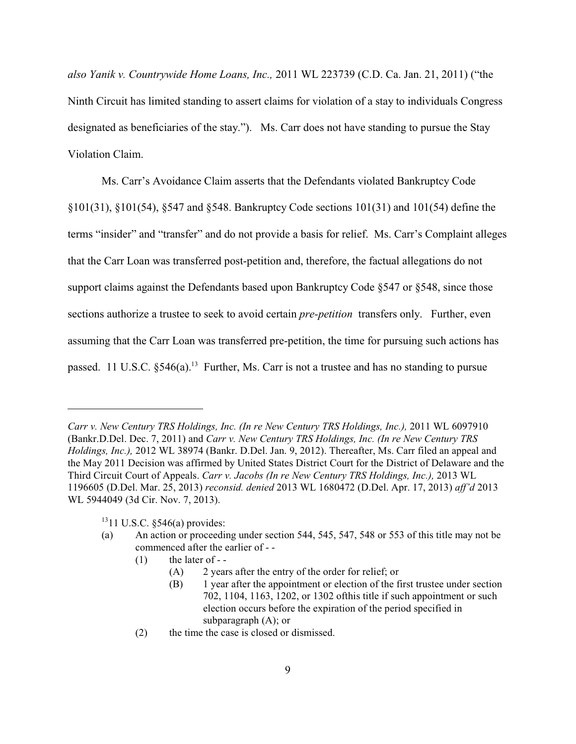*also Yanik v. Countrywide Home Loans, Inc.,* 2011 WL 223739 (C.D. Ca. Jan. 21, 2011) ("the Ninth Circuit has limited standing to assert claims for violation of a stay to individuals Congress designated as beneficiaries of the stay."). Ms. Carr does not have standing to pursue the Stay Violation Claim.

Ms. Carr's Avoidance Claim asserts that the Defendants violated Bankruptcy Code §101(31), §101(54), §547 and §548. Bankruptcy Code sections 101(31) and 101(54) define the terms "insider" and "transfer" and do not provide a basis for relief. Ms. Carr's Complaint alleges that the Carr Loan was transferred post-petition and, therefore, the factual allegations do not support claims against the Defendants based upon Bankruptcy Code §547 or §548, since those sections authorize a trustee to seek to avoid certain *pre-petition* transfers only. Further, even assuming that the Carr Loan was transferred pre-petition, the time for pursuing such actions has passed. 11 U.S.C.  $\S$ 546(a).<sup>13</sup> Further, Ms. Carr is not a trustee and has no standing to pursue

 $(1)$  the later of --

- (B) 1 year after the appointment or election of the first trustee under section 702, 1104, 1163, 1202, or 1302 ofthis title if such appointment or such election occurs before the expiration of the period specified in subparagraph (A); or
- (2) the time the case is closed or dismissed.

*Carr v. New Century TRS Holdings, Inc. (In re New Century TRS Holdings, Inc.),* 2011 WL 6097910 (Bankr.D.Del. Dec. 7, 2011) and *Carr v. New Century TRS Holdings, Inc. (In re New Century TRS Holdings, Inc.),* 2012 WL 38974 (Bankr. D.Del. Jan. 9, 2012). Thereafter, Ms. Carr filed an appeal and the May 2011 Decision was affirmed by United States District Court for the District of Delaware and the Third Circuit Court of Appeals. *Carr v. Jacobs (In re New Century TRS Holdings, Inc.),* 2013 WL 1196605 (D.Del. Mar. 25, 2013) *reconsid. denied* 2013 WL 1680472 (D.Del. Apr. 17, 2013) *aff'd* 2013 WL 5944049 (3d Cir. Nov. 7, 2013).

 $1311$  U.S.C. §546(a) provides:

<sup>(</sup>a) An action or proceeding under section 544, 545, 547, 548 or 553 of this title may not be commenced after the earlier of - -

<sup>(</sup>A) 2 years after the entry of the order for relief; or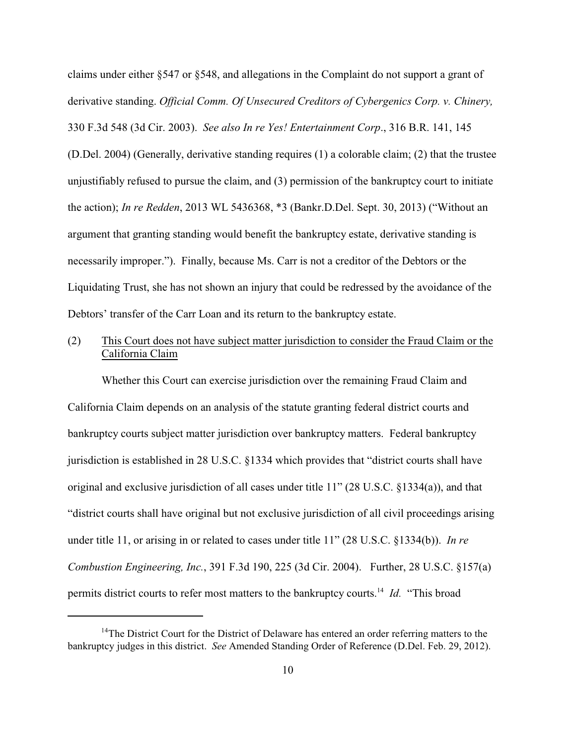claims under either §547 or §548, and allegations in the Complaint do not support a grant of derivative standing. *Official Comm. Of Unsecured Creditors of Cybergenics Corp. v. Chinery,* 330 F.3d 548 (3d Cir. 2003). *See also In re Yes! Entertainment Corp*., 316 B.R. 141, 145

(D.Del. 2004) (Generally, derivative standing requires (1) a colorable claim; (2) that the trustee unjustifiably refused to pursue the claim, and (3) permission of the bankruptcy court to initiate the action); *In re Redden*, 2013 WL 5436368, \*3 (Bankr.D.Del. Sept. 30, 2013) ("Without an argument that granting standing would benefit the bankruptcy estate, derivative standing is necessarily improper."). Finally, because Ms. Carr is not a creditor of the Debtors or the Liquidating Trust, she has not shown an injury that could be redressed by the avoidance of the Debtors' transfer of the Carr Loan and its return to the bankruptcy estate.

# (2) This Court does not have subject matter jurisdiction to consider the Fraud Claim or the California Claim

Whether this Court can exercise jurisdiction over the remaining Fraud Claim and California Claim depends on an analysis of the statute granting federal district courts and bankruptcy courts subject matter jurisdiction over bankruptcy matters. Federal bankruptcy jurisdiction is established in 28 U.S.C. §1334 which provides that "district courts shall have original and exclusive jurisdiction of all cases under title 11" (28 U.S.C. §1334(a)), and that "district courts shall have original but not exclusive jurisdiction of all civil proceedings arising under title 11, or arising in or related to cases under title 11" (28 U.S.C. §1334(b)). *In re Combustion Engineering, Inc.*, 391 F.3d 190, 225 (3d Cir. 2004). Further, 28 U.S.C. §157(a) permits district courts to refer most matters to the bankruptcy courts.<sup>14</sup> *Id.* "This broad

 $14$ The District Court for the District of Delaware has entered an order referring matters to the bankruptcy judges in this district. *See* Amended Standing Order of Reference (D.Del. Feb. 29, 2012).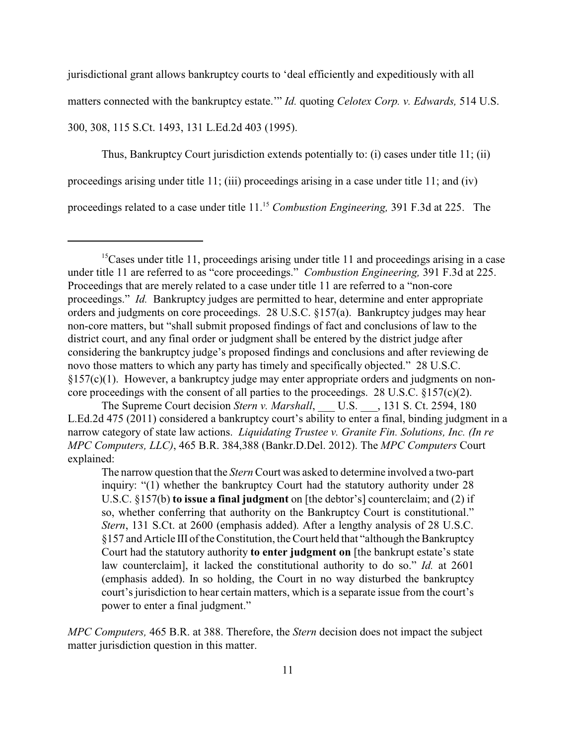jurisdictional grant allows bankruptcy courts to 'deal efficiently and expeditiously with all matters connected with the bankruptcy estate.'" *Id.* quoting *Celotex Corp. v. Edwards,* 514 U.S. 300, 308, 115 S.Ct. 1493, 131 L.Ed.2d 403 (1995).

Thus, Bankruptcy Court jurisdiction extends potentially to: (i) cases under title 11; (ii) proceedings arising under title 11; (iii) proceedings arising in a case under title 11; and (iv) proceedings related to a case under title 11.<sup>15</sup> Combustion Engineering, 391 F.3d at 225. The

The Supreme Court decision *Stern v. Marshall*, \_\_\_ U.S. \_\_\_, 131 S. Ct. 2594, 180 L.Ed.2d 475 (2011) considered a bankruptcy court's ability to enter a final, binding judgment in a narrow category of state law actions. *Liquidating Trustee v. Granite Fin. Solutions, Inc. (In re MPC Computers, LLC)*, 465 B.R. 384,388 (Bankr.D.Del. 2012). The *MPC Computers* Court explained:

<sup>&</sup>lt;sup>15</sup> Cases under title 11, proceedings arising under title 11 and proceedings arising in a case under title 11 are referred to as "core proceedings." *Combustion Engineering,* 391 F.3d at 225. Proceedings that are merely related to a case under title 11 are referred to a "non-core proceedings." *Id.* Bankruptcy judges are permitted to hear, determine and enter appropriate orders and judgments on core proceedings. 28 U.S.C. §157(a). Bankruptcy judges may hear non-core matters, but "shall submit proposed findings of fact and conclusions of law to the district court, and any final order or judgment shall be entered by the district judge after considering the bankruptcy judge's proposed findings and conclusions and after reviewing de novo those matters to which any party has timely and specifically objected." 28 U.S.C. §157(c)(1). However, a bankruptcy judge may enter appropriate orders and judgments on noncore proceedings with the consent of all parties to the proceedings. 28 U.S.C. §157(c)(2).

The narrow question that the *Stern*Court was asked to determine involved a two-part inquiry: "(1) whether the bankruptcy Court had the statutory authority under 28 U.S.C. §157(b) **to issue a final judgment** on [the debtor's] counterclaim; and (2) if so, whether conferring that authority on the Bankruptcy Court is constitutional." *Stern*, 131 S.Ct. at 2600 (emphasis added). After a lengthy analysis of 28 U.S.C. §157 and Article III of the Constitution, the Court held that "although the Bankruptcy Court had the statutory authority **to enter judgment on** [the bankrupt estate's state law counterclaim], it lacked the constitutional authority to do so." *Id.* at 2601 (emphasis added). In so holding, the Court in no way disturbed the bankruptcy court's jurisdiction to hear certain matters, which is a separate issue from the court's power to enter a final judgment."

*MPC Computers,* 465 B.R. at 388. Therefore, the *Stern* decision does not impact the subject matter jurisdiction question in this matter.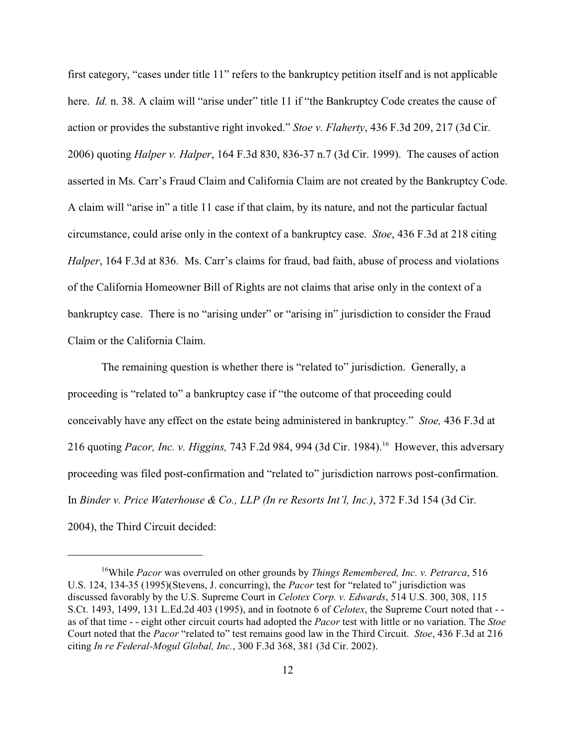first category, "cases under title 11" refers to the bankruptcy petition itself and is not applicable here. *Id.* n. 38. A claim will "arise under" title 11 if "the Bankruptcy Code creates the cause of action or provides the substantive right invoked." *Stoe v. Flaherty*, 436 F.3d 209, 217 (3d Cir. 2006) quoting *Halper v. Halper*, 164 F.3d 830, 836-37 n.7 (3d Cir. 1999). The causes of action asserted in Ms. Carr's Fraud Claim and California Claim are not created by the Bankruptcy Code. A claim will "arise in" a title 11 case if that claim, by its nature, and not the particular factual circumstance, could arise only in the context of a bankruptcy case. *Stoe*, 436 F.3d at 218 citing *Halper*, 164 F.3d at 836. Ms. Carr's claims for fraud, bad faith, abuse of process and violations of the California Homeowner Bill of Rights are not claims that arise only in the context of a bankruptcy case. There is no "arising under" or "arising in" jurisdiction to consider the Fraud Claim or the California Claim.

The remaining question is whether there is "related to" jurisdiction. Generally, a proceeding is "related to" a bankruptcy case if "the outcome of that proceeding could conceivably have any effect on the estate being administered in bankruptcy." *Stoe,* 436 F.3d at 216 quoting *Pacor, Inc. v. Higgins, 743 F.2d 984, 994 (3d Cir. 1984)*.<sup>16</sup> However, this adversary proceeding was filed post-confirmation and "related to" jurisdiction narrows post-confirmation. In *Binder v. Price Waterhouse & Co., LLP (In re Resorts Int'l, Inc.)*, 372 F.3d 154 (3d Cir. 2004), the Third Circuit decided:

<sup>&</sup>lt;sup>16</sup>While *Pacor* was overruled on other grounds by *Things Remembered, Inc. v. Petrarca*, 516 U.S. 124, 134-35 (1995)(Stevens, J. concurring), the *Pacor* test for "related to" jurisdiction was discussed favorably by the U.S. Supreme Court in *Celotex Corp. v. Edwards*, 514 U.S. 300, 308, 115 S.Ct. 1493, 1499, 131 L.Ed.2d 403 (1995), and in footnote 6 of *Celotex*, the Supreme Court noted that - as of that time - - eight other circuit courts had adopted the *Pacor* test with little or no variation. The *Stoe* Court noted that the *Pacor* "related to" test remains good law in the Third Circuit. *Stoe*, 436 F.3d at 216 citing *In re Federal-Mogul Global, Inc.*, 300 F.3d 368, 381 (3d Cir. 2002).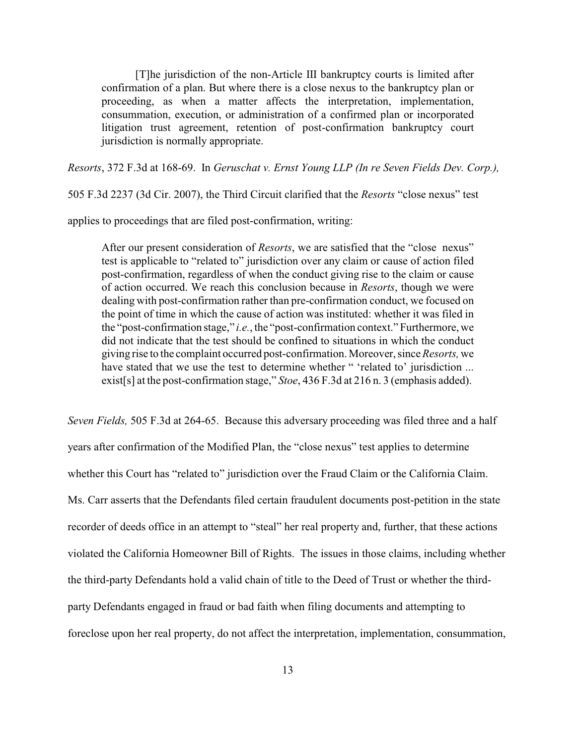[T]he jurisdiction of the non-Article III bankruptcy courts is limited after confirmation of a plan. But where there is a close nexus to the bankruptcy plan or proceeding, as when a matter affects the interpretation, implementation, consummation, execution, or administration of a confirmed plan or incorporated litigation trust agreement, retention of post-confirmation bankruptcy court jurisdiction is normally appropriate.

*Resorts*, 372 F.3d at 168-69. In *Geruschat v. Ernst Young LLP (In re Seven Fields Dev. Corp.),*

505 F.3d 2237 (3d Cir. 2007), the Third Circuit clarified that the *Resorts* "close nexus" test

applies to proceedings that are filed post-confirmation, writing:

After our present consideration of *Resorts*, we are satisfied that the "close nexus" test is applicable to "related to" jurisdiction over any claim or cause of action filed post-confirmation, regardless of when the conduct giving rise to the claim or cause of action occurred. We reach this conclusion because in *Resorts*, though we were dealing with post-confirmation rather than pre-confirmation conduct, we focused on the point of time in which the cause of action was instituted: whether it was filed in the "post-confirmation stage," *i.e.*, the "post-confirmation context." Furthermore, we did not indicate that the test should be confined to situations in which the conduct giving rise to the complaint occurred post-confirmation. Moreover, since *Resorts,* we have stated that we use the test to determine whether " 'related to' jurisdiction ... exist[s] at the post-confirmation stage," *Stoe*, 436 F.3d at 216 n. 3 (emphasis added).

*Seven Fields,* 505 F.3d at 264-65. Because this adversary proceeding was filed three and a half years after confirmation of the Modified Plan, the "close nexus" test applies to determine whether this Court has "related to" jurisdiction over the Fraud Claim or the California Claim. Ms. Carr asserts that the Defendants filed certain fraudulent documents post-petition in the state recorder of deeds office in an attempt to "steal" her real property and, further, that these actions violated the California Homeowner Bill of Rights. The issues in those claims, including whether the third-party Defendants hold a valid chain of title to the Deed of Trust or whether the thirdparty Defendants engaged in fraud or bad faith when filing documents and attempting to foreclose upon her real property, do not affect the interpretation, implementation, consummation,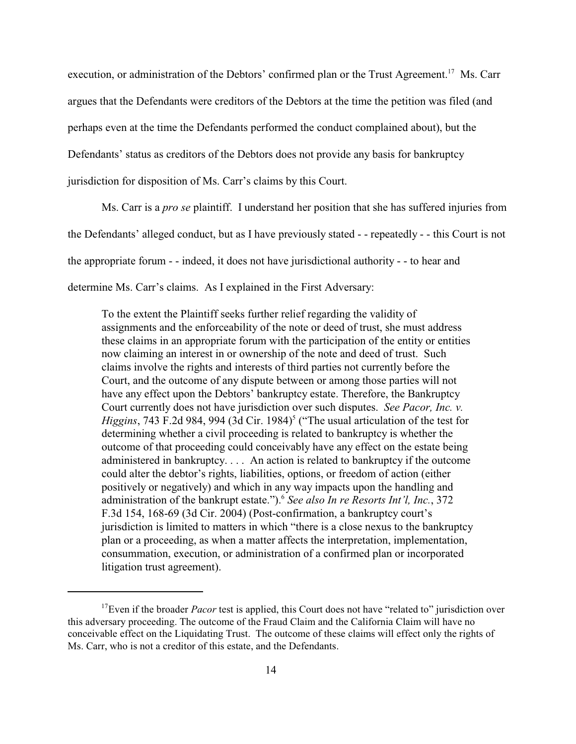execution, or administration of the Debtors' confirmed plan or the Trust Agreement.<sup>17</sup> Ms. Carr argues that the Defendants were creditors of the Debtors at the time the petition was filed (and perhaps even at the time the Defendants performed the conduct complained about), but the Defendants' status as creditors of the Debtors does not provide any basis for bankruptcy jurisdiction for disposition of Ms. Carr's claims by this Court.

Ms. Carr is a *pro se* plaintiff. I understand her position that she has suffered injuries from the Defendants' alleged conduct, but as I have previously stated - - repeatedly - - this Court is not the appropriate forum - - indeed, it does not have jurisdictional authority - - to hear and determine Ms. Carr's claims. As I explained in the First Adversary:

To the extent the Plaintiff seeks further relief regarding the validity of assignments and the enforceability of the note or deed of trust, she must address these claims in an appropriate forum with the participation of the entity or entities now claiming an interest in or ownership of the note and deed of trust. Such claims involve the rights and interests of third parties not currently before the Court, and the outcome of any dispute between or among those parties will not have any effect upon the Debtors' bankruptcy estate. Therefore, the Bankruptcy Court currently does not have jurisdiction over such disputes. *See Pacor, Inc. v. Higgins*, 743 F.2d 984, 994 (3d Cir. 1984)<sup>5</sup> ("The usual articulation of the test for determining whether a civil proceeding is related to bankruptcy is whether the outcome of that proceeding could conceivably have any effect on the estate being administered in bankruptcy. . . . An action is related to bankruptcy if the outcome could alter the debtor's rights, liabilities, options, or freedom of action (either positively or negatively) and which in any way impacts upon the handling and administration of the bankrupt estate.").<sup>6</sup> See also In re Resorts Int'l, Inc., 372 F.3d 154, 168-69 (3d Cir. 2004) (Post-confirmation, a bankruptcy court's jurisdiction is limited to matters in which "there is a close nexus to the bankruptcy plan or a proceeding, as when a matter affects the interpretation, implementation, consummation, execution, or administration of a confirmed plan or incorporated litigation trust agreement).

<sup>&</sup>lt;sup>17</sup> Even if the broader *Pacor* test is applied, this Court does not have "related to" jurisdiction over this adversary proceeding. The outcome of the Fraud Claim and the California Claim will have no conceivable effect on the Liquidating Trust. The outcome of these claims will effect only the rights of Ms. Carr, who is not a creditor of this estate, and the Defendants.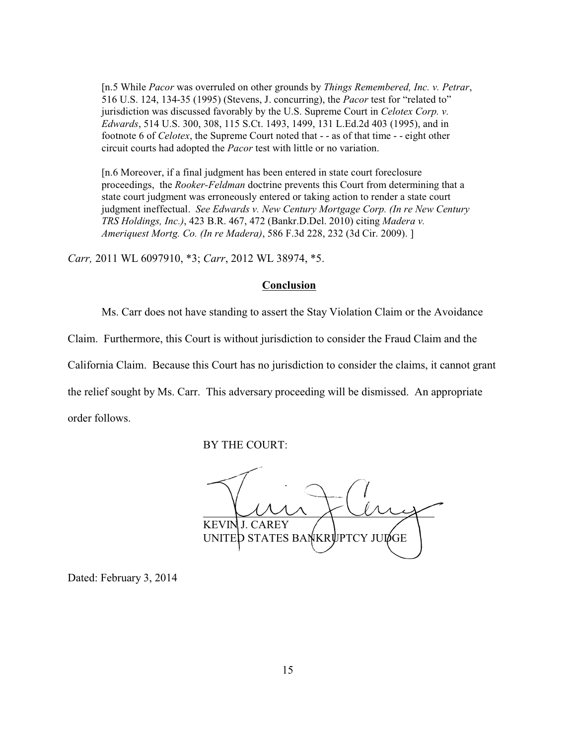[n.5 While *Pacor* was overruled on other grounds by *Things Remembered, Inc. v. Petrar*, 516 U.S. 124, 134-35 (1995) (Stevens, J. concurring), the *Pacor* test for "related to" jurisdiction was discussed favorably by the U.S. Supreme Court in *Celotex Corp. v. Edwards*, 514 U.S. 300, 308, 115 S.Ct. 1493, 1499, 131 L.Ed.2d 403 (1995), and in footnote 6 of *Celotex*, the Supreme Court noted that - - as of that time - - eight other circuit courts had adopted the *Pacor* test with little or no variation.

[n.6 Moreover, if a final judgment has been entered in state court foreclosure proceedings, the *Rooker-Feldman* doctrine prevents this Court from determining that a state court judgment was erroneously entered or taking action to render a state court judgment ineffectual. *See Edwards v. New Century Mortgage Corp. (In re New Century TRS Holdings, Inc.)*, 423 B.R. 467, 472 (Bankr.D.Del. 2010) citing *Madera v. Ameriquest Mortg. Co. (In re Madera)*, 586 F.3d 228, 232 (3d Cir. 2009). ]

*Carr,* 2011 WL 6097910, \*3; *Carr*, 2012 WL 38974, \*5.

#### **Conclusion**

Ms. Carr does not have standing to assert the Stay Violation Claim or the Avoidance

Claim. Furthermore, this Court is without jurisdiction to consider the Fraud Claim and the

California Claim. Because this Court has no jurisdiction to consider the claims, it cannot grant

the relief sought by Ms. Carr. This adversary proceeding will be dismissed. An appropriate

order follows.

BY THE COURT:

 $\overline{a}$ KEVIN J. CAREY UNITED STATES BANKRUPTCY JUDGE

Dated: February 3, 2014